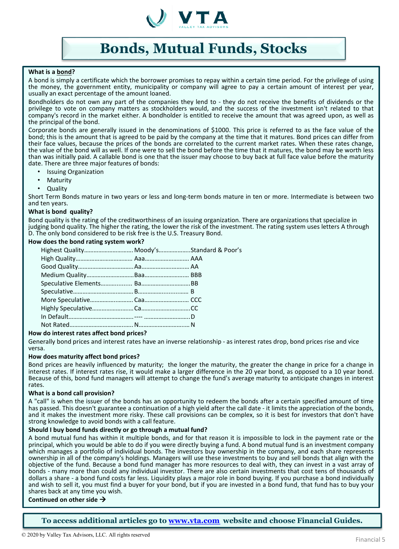

# **Bonds, Mutual Funds, Stocks**

### **What is a bond?**

A bond is simply a certificate which the borrower promises to repay within a certain time period. For the privilege of using the money, the government entity, municipality or company will agree to pay a certain amount of interest per year, usually an exact percentage of the amount loaned.

Bondholders do not own any part of the companies they lend to - they do not receive the benefits of dividends or the privilege to vote on company matters as stockholders would, and the success of the investment isn't related to that company's record in the market either. A bondholder is entitled to receive the amount that was agreed upon, as well as the principal of the bond.

Corporate bonds are generally issued in the denominations of \$1000. This price is referred to as the face value of the bond; this is the amount that is agreed to be paid by the company at the time that it matures. Bond prices can differ from their face values, because the prices of the bonds are correlated to the current market rates. When these rates change, the value of the bond will as well. If one were to sell the bond before the time that it matures, the bond may be worth less than was initially paid. A callable bond is one that the issuer may choose to buy back at full face value before the maturity date. There are three major features of bonds:

- Issuing Organization
- **Maturity**
- Quality

Short Term Bonds mature in two years or less and long-term bonds mature in ten or more. Intermediate is between two and ten years.

### **What is bond quality?**

Bond quality is the rating of the creditworthiness of an issuing organization. There are organizations that specialize in judging bond quality. The higher the rating, the lower the risk of the investment. The rating system uses letters A through D. The only bond considered to be risk free is the U.S. Treasury Bond.

### **How does the bond rating system work?**

| Highest Quality Moody'sStandard & Poor's |  |
|------------------------------------------|--|
|                                          |  |
|                                          |  |
|                                          |  |
|                                          |  |
|                                          |  |
|                                          |  |
|                                          |  |
|                                          |  |
|                                          |  |
|                                          |  |

### **How do interest rates affect bond prices?**

Generally bond prices and interest rates have an inverse relationship - as interest rates drop, bond prices rise and vice versa.

### **How does maturity affect bond prices?**

Bond prices are heavily influenced by maturity; the longer the maturity, the greater the change in price for a change in interest rates. If interest rates rise, it would make a larger difference in the 20 year bond, as opposed to a 10 year bond.<br>Because of this, bond fund managers will attempt to change the fund's average maturity to anticip rates.

### **What is a bond call provision?**

A "call" is when the issuer of the bonds has an opportunity to redeem the bonds after a certain specified amount of time has passed. This doesn't guarantee a continuation of a high yield after the call date - it limits the appreciation of the bonds, and it makes the investment more risky. These call provisions can be complex, so it is best for investors that don't have strong knowledge to avoid bonds with a call feature.

### **Should I buy bond funds directly or go through a mutual fund?**

A bond mutual fund has within it multiple bonds, and for that reason it is impossible to lock in the payment rate or the principal, which you would be able to do if you were directly buying a fund. A bond mutual fund is an investment company which manages a portfolio of individual bonds. The investors buy ownership in the company, and each share represents ownership in all of the company's holdings. Managers will use these investments to buy and sell bonds that align with the objective of the fund. Because a bond fund manager has more resources to deal with, they can invest in a vast array of bonds - many more than could any individual investor. There are also certain investments that cost tens of thousands of dollars a share - a bond fund costs far less. Liquidity plays a major role in bond buying. If you purchase a bond individually and wish to sell it, you must find a buyer for your bond, but if you are invested in a bond fund, that fund has to buy your shares back at any time you wish.

### **Continued on other side**

**To access additional articles go to [www.vta.com](http://www.vta.com/) website and choose Financial Guides.**